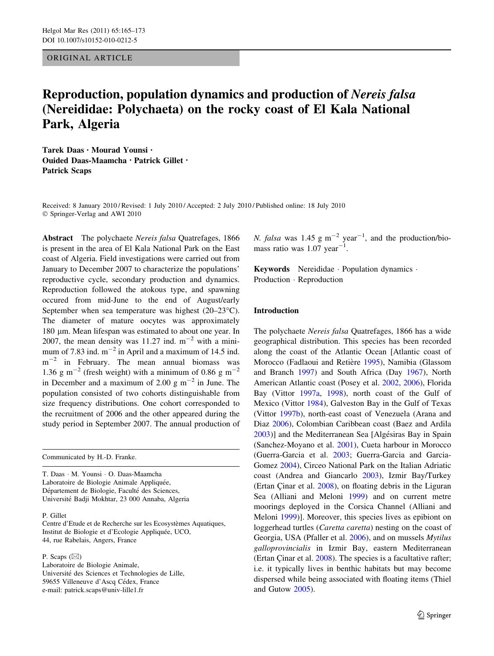ORIGINAL ARTICLE

# Reproduction, population dynamics and production of Nereis falsa (Nereididae: Polychaeta) on the rocky coast of El Kala National Park, Algeria

Tarek Daas • Mourad Younsi • Ouided Daas-Maamcha • Patrick Gillet • Patrick Scaps

Received: 8 January 2010 / Revised: 1 July 2010 / Accepted: 2 July 2010 / Published online: 18 July 2010 © Springer-Verlag and AWI 2010

Abstract The polychaete Nereis falsa Quatrefages, 1866 is present in the area of El Kala National Park on the East coast of Algeria. Field investigations were carried out from January to December 2007 to characterize the populations' reproductive cycle, secondary production and dynamics. Reproduction followed the atokous type, and spawning occured from mid-June to the end of August/early September when sea temperature was highest  $(20-23^{\circ}C)$ . The diameter of mature oocytes was approximately 180 µm. Mean lifespan was estimated to about one year. In 2007, the mean density was 11.27 ind.  $m^{-2}$  with a minimum of 7.83 ind.  $m^{-2}$  in April and a maximum of 14.5 ind.  $m^{-2}$  in February. The mean annual biomass was 1.36 g m<sup>-2</sup> (fresh weight) with a minimum of 0.86 g m<sup>-2</sup> in December and a maximum of 2.00 g  $m^{-2}$  in June. The population consisted of two cohorts distinguishable from size frequency distributions. One cohort corresponded to the recruitment of 2006 and the other appeared during the study period in September 2007. The annual production of

Communicated by H.-D. Franke.

T. Daas - M. Younsi - O. Daas-Maamcha Laboratoire de Biologie Animale Appliquée, Département de Biologie, Faculté des Sciences, Université Badji Mokhtar, 23 000 Annaba, Algeria

P. Gillet

Centre d'Etude et de Recherche sur les Ecosystèmes Aquatiques, Institut de Biologie et d'Ecologie Appliquée, UCO, 44, rue Rabelais, Angers, France

P. Scaps  $(\boxtimes)$ 

Laboratoire de Biologie Animale, Université des Sciences et Technologies de Lille, 59655 Villeneuve d'Ascq Cédex, France e-mail: patrick.scaps@univ-lille1.fr

N. falsa was 1.45 g m<sup>-2</sup> year<sup>-1</sup>, and the production/biomass ratio was  $1.07 \text{ year}^{-1}$ .

Keywords Nereididae - Population dynamics - Production - Reproduction

# Introduction

The polychaete Nereis falsa Quatrefages, 1866 has a wide geographical distribution. This species has been recorded along the coast of the Atlantic Ocean [Atlantic coast of Morocco (Fadlaoui and Retière [1995](#page-7-0)), Namibia (Glassom and Branch [1997](#page-7-0)) and South Africa (Day [1967](#page-7-0)), North American Atlantic coast (Posey et al. [2002,](#page-7-0) [2006](#page-7-0)), Florida Bay (Vittor [1997a,](#page-7-0) [1998](#page-7-0)), north coast of the Gulf of Mexico (Vittor [1984\)](#page-7-0), Galveston Bay in the Gulf of Texas (Vittor [1997b](#page-7-0)), north-east coast of Venezuela (Arana and Diaz [2006](#page-6-0)), Colombian Caribbean coast (Baez and Ardila [2003](#page-6-0))] and the Mediterranean Sea [Algésiras Bay in Spain (Sanchez-Moyano et al. [2001\)](#page-7-0), Cueta harbour in Morocco (Guerra-Garcia et al. [2003;](#page-7-0) Guerra-Garcia and Garcia-Gomez [2004\)](#page-7-0), Circeo National Park on the Italian Adriatic coast (Andrea and Giancarlo [2003](#page-6-0)), Izmir Bay/Turkey (Ertan Çinar et al.  $2008$ ), on floating debris in the Liguran Sea (Alliani and Meloni [1999](#page-6-0)) and on current metre moorings deployed in the Corsica Channel (Alliani and Meloni [1999](#page-6-0))]. Moreover, this species lives as epibiont on loggerhead turtles (Caretta caretta) nesting on the coast of Georgia, USA (Pfaller et al. [2006](#page-7-0)), and on mussels Mytilus galloprovincialis in Izmir Bay, eastern Mediterranean (Ertan Çinar et al.  $2008$ ). The species is a facultative rafter; i.e. it typically lives in benthic habitats but may become dispersed while being associated with floating items (Thiel and Gutow [2005](#page-7-0)).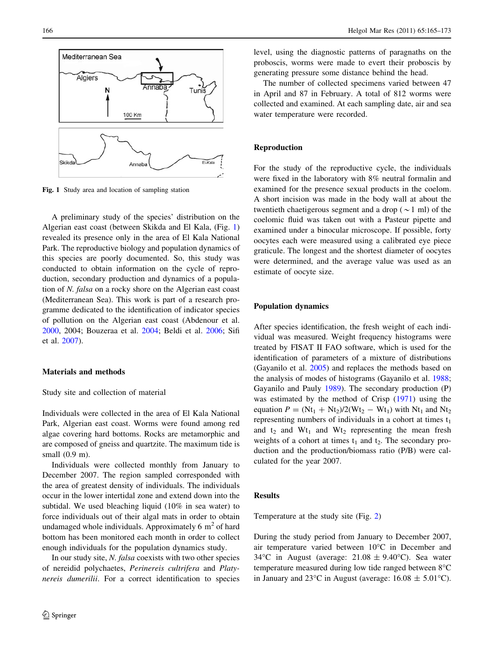

Fig. 1 Study area and location of sampling station

A preliminary study of the species' distribution on the Algerian east coast (between Skikda and El Kala, (Fig. 1) revealed its presence only in the area of El Kala National Park. The reproductive biology and population dynamics of this species are poorly documented. So, this study was conducted to obtain information on the cycle of reproduction, secondary production and dynamics of a population of N. falsa on a rocky shore on the Algerian east coast (Mediterranean Sea). This work is part of a research programme dedicated to the identification of indicator species of pollution on the Algerian east coast (Abdenour et al. [2000,](#page-6-0) 2004; Bouzeraa et al. [2004](#page-6-0); Beldi et al. [2006](#page-6-0); Sifi et al. [2007\)](#page-7-0).

# Materials and methods

## Study site and collection of material

Individuals were collected in the area of El Kala National Park, Algerian east coast. Worms were found among red algae covering hard bottoms. Rocks are metamorphic and are composed of gneiss and quartzite. The maximum tide is small (0.9 m).

Individuals were collected monthly from January to December 2007. The region sampled corresponded with the area of greatest density of individuals. The individuals occur in the lower intertidal zone and extend down into the subtidal. We used bleaching liquid (10% in sea water) to force individuals out of their algal mats in order to obtain undamaged whole individuals. Approximately  $6 \text{ m}^2$  of hard bottom has been monitored each month in order to collect enough individuals for the population dynamics study.

In our study site, N. falsa coexists with two other species of nereidid polychaetes, Perinereis cultrifera and Platynereis dumerilii. For a correct identification to species level, using the diagnostic patterns of paragnaths on the proboscis, worms were made to evert their proboscis by generating pressure some distance behind the head.

The number of collected specimens varied between 47 in April and 87 in February. A total of 812 worms were collected and examined. At each sampling date, air and sea water temperature were recorded.

# Reproduction

For the study of the reproductive cycle, the individuals were fixed in the laboratory with 8% neutral formalin and examined for the presence sexual products in the coelom. A short incision was made in the body wall at about the twentieth chaetigerous segment and a drop ( $\sim$ 1 ml) of the coelomic fluid was taken out with a Pasteur pipette and examined under a binocular microscope. If possible, forty oocytes each were measured using a calibrated eye piece graticule. The longest and the shortest diameter of oocytes were determined, and the average value was used as an estimate of oocyte size.

# Population dynamics

After species identification, the fresh weight of each individual was measured. Weight frequency histograms were treated by FISAT II FAO software, which is used for the identification of parameters of a mixture of distributions (Gayanilo et al. [2005\)](#page-7-0) and replaces the methods based on the analysis of modes of histograms (Gayanilo et al. [1988](#page-7-0); Gayanilo and Pauly [1989](#page-7-0)). The secondary production (P) was estimated by the method of Crisp ([1971\)](#page-6-0) using the equation  $P = (Nt_1 + Nt_2)/2(Wt_2 - Wt_1)$  with  $Nt_1$  and  $Nt_2$ representing numbers of individuals in a cohort at times  $t_1$ and  $t_2$  and  $Wt_1$  and  $Wt_2$  representing the mean fresh weights of a cohort at times  $t_1$  and  $t_2$ . The secondary production and the production/biomass ratio (P/B) were calculated for the year 2007.

#### Results

Temperature at the study site (Fig. [2\)](#page-2-0)

During the study period from January to December 2007, air temperature varied between 10°C in December and 34 °C in August (average:  $21.08 \pm 9.40$  °C). Sea water temperature measured during low tide ranged between  $8^{\circ}$ C in January and 23°C in August (average:  $16.08 \pm 5.01$ °C).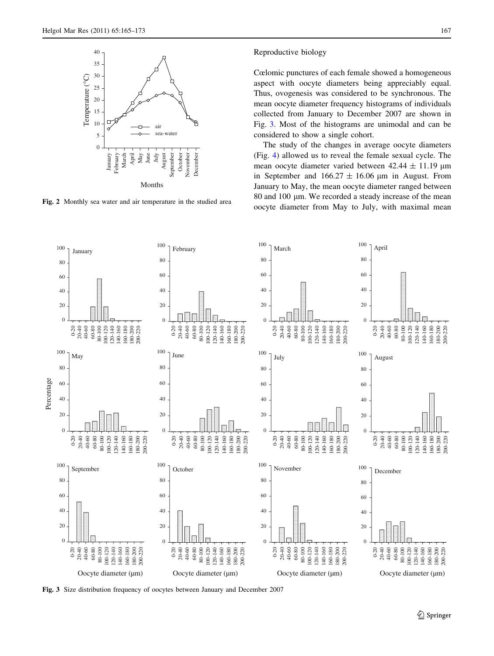<span id="page-2-0"></span>

Fig. 2 Monthly sea water and air temperature in the studied area

Cœlomic punctures of each female showed a homogeneous aspect with oocyte diameters being appreciably equal. Thus, ovogenesis was considered to be synchronous. The mean oocyte diameter frequency histograms of individuals collected from January to December 2007 are shown in Fig. 3. Most of the histograms are unimodal and can be considered to show a single cohort.

The study of the changes in average oocyte diameters (Fig. [4\)](#page-3-0) allowed us to reveal the female sexual cycle. The mean oocyte diameter varied between  $42.44 \pm 11.19 \text{ }\mu\text{m}$ in September and  $166.27 \pm 16.06 \mu m$  in August. From January to May, the mean oocyte diameter ranged between  $80$  and  $100 \mu m$ . We recorded a steady increase of the mean oocyte diameter from May to July, with maximal mean



Fig. 3 Size distribution frequency of oocytes between January and December 2007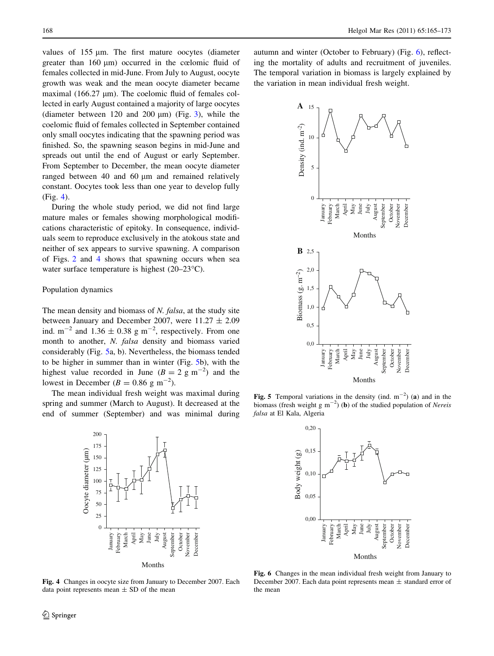<span id="page-3-0"></span>values of 155 um. The first mature oocytes (diameter greater than  $160 \text{ }\mu\text{m}$ ) occurred in the cœlomic fluid of females collected in mid-June. From July to August, oocyte growth was weak and the mean oocyte diameter became maximal (166.27  $\mu$ m). The coelomic fluid of females collected in early August contained a majority of large oocytes (diameter between 120 and 200  $\mu$ m) (Fig. [3](#page-2-0)), while the coelomic fluid of females collected in September contained only small oocytes indicating that the spawning period was finished. So, the spawning season begins in mid-June and spreads out until the end of August or early September. From September to December, the mean oocyte diameter ranged between 40 and 60 µm and remained relatively constant. Oocytes took less than one year to develop fully (Fig. 4).

During the whole study period, we did not find large mature males or females showing morphological modifications characteristic of epitoky. In consequence, individuals seem to reproduce exclusively in the atokous state and neither of sex appears to survive spawning. A comparison of Figs. [2](#page-2-0) and 4 shows that spawning occurs when sea water surface temperature is highest  $(20-23\degree C)$ .

# Population dynamics

The mean density and biomass of N. falsa, at the study site between January and December 2007, were  $11.27 \pm 2.09$ ind.  $m^{-2}$  and 1.36  $\pm$  0.38 g m<sup>-2</sup>, respectively. From one month to another, N. falsa density and biomass varied considerably (Fig. 5a, b). Nevertheless, the biomass tended to be higher in summer than in winter (Fig. 5b), with the highest value recorded in June  $(B = 2 \text{ g m}^{-2})$  and the lowest in December ( $B = 0.86$  g m<sup>-2</sup>).

The mean individual fresh weight was maximal during spring and summer (March to August). It decreased at the end of summer (September) and was minimal during



autumn and winter (October to February) (Fig. 6), reflecting the mortality of adults and recruitment of juveniles. The temporal variation in biomass is largely explained by the variation in mean individual fresh weight.



Fig. 5 Temporal variations in the density (ind.  $m^{-2}$ ) (a) and in the biomass (fresh weight g m<sup>-2</sup>) (**b**) of the studied population of Nereis falsa at El Kala, Algeria



Fig. 6 Changes in the mean individual fresh weight from January to December 2007. Each data point represents mean  $\pm$  standard error of the mean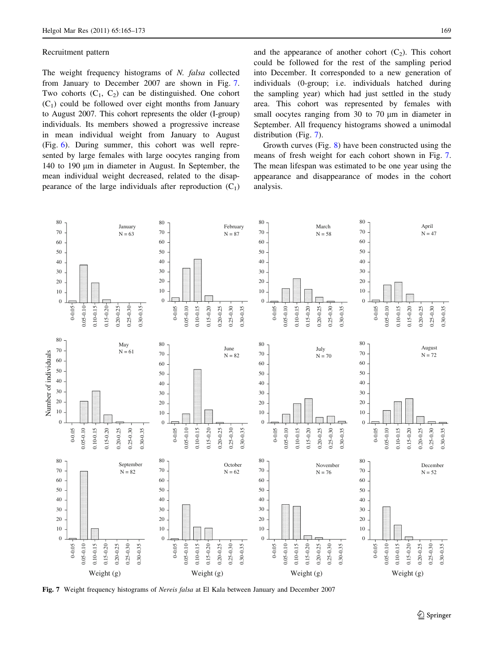## Recruitment pattern

The weight frequency histograms of N. falsa collected from January to December 2007 are shown in Fig. 7. Two cohorts  $(C_1, C_2)$  can be distinguished. One cohort  $(C_1)$  could be followed over eight months from January to August 2007. This cohort represents the older (I-group) individuals. Its members showed a progressive increase in mean individual weight from January to August (Fig. [6](#page-3-0)). During summer, this cohort was well represented by large females with large oocytes ranging from 140 to 190 µm in diameter in August. In September, the mean individual weight decreased, related to the disappearance of the large individuals after reproduction  $(C_1)$  and the appearance of another cohort  $(C_2)$ . This cohort could be followed for the rest of the sampling period into December. It corresponded to a new generation of individuals (0-group; i.e. individuals hatched during the sampling year) which had just settled in the study area. This cohort was represented by females with small oocytes ranging from 30 to 70 µm in diameter in September. All frequency histograms showed a unimodal distribution (Fig. 7).

Growth curves (Fig. [8\)](#page-5-0) have been constructed using the means of fresh weight for each cohort shown in Fig. 7. The mean lifespan was estimated to be one year using the appearance and disappearance of modes in the cohort analysis.



Fig. 7 Weight frequency histograms of Nereis falsa at El Kala between January and December 2007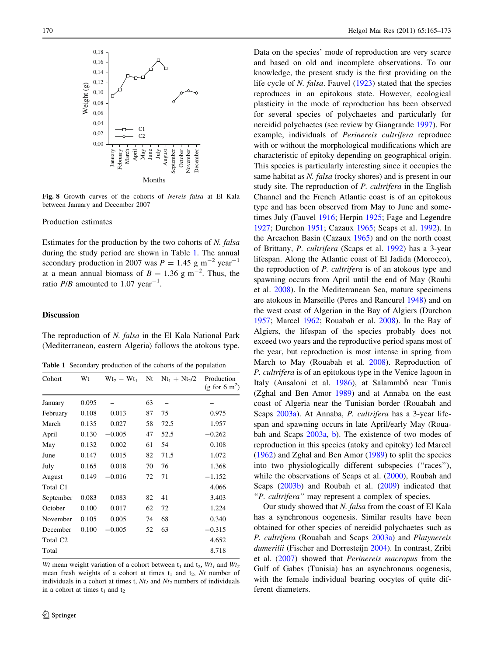<span id="page-5-0"></span>

Fig. 8 Growth curves of the cohorts of Nereis falsa at El Kala between January and December 2007

# Production estimates

Estimates for the production by the two cohorts of N. falsa during the study period are shown in Table 1. The annual secondary production in 2007 was  $P = 1.45$  g m<sup>-2</sup> year<sup>-1</sup> at a mean annual biomass of  $B = 1.36$  g m<sup>-2</sup>. Thus, the ratio  $P/B$  amounted to 1.07 year<sup>-1</sup>.

## **Discussion**

The reproduction of N. falsa in the El Kala National Park (Mediterranean, eastern Algeria) follows the atokous type.

Table 1 Secondary production of the cohorts of the population

| Cohort               | Wt    | $Wt_2 - Wt_1$ | Nt | $Nt_1 + Nt_2/2$ | Production<br>(g for 6 m <sup>2</sup> ) |
|----------------------|-------|---------------|----|-----------------|-----------------------------------------|
| January              | 0.095 |               | 63 |                 |                                         |
| February             | 0.108 | 0.013         | 87 | 75              | 0.975                                   |
| March                | 0.135 | 0.027         | 58 | 72.5            | 1.957                                   |
| April                | 0.130 | $-0.005$      | 47 | 52.5            | $-0.262$                                |
| May                  | 0.132 | 0.002         | 61 | 54              | 0.108                                   |
| June                 | 0.147 | 0.015         | 82 | 71.5            | 1.072                                   |
| July                 | 0.165 | 0.018         | 70 | 76              | 1.368                                   |
| August               | 0.149 | $-0.016$      | 72 | 71              | $-1.152$                                |
| Total C1             |       |               |    |                 | 4.066                                   |
| September            | 0.083 | 0.083         | 82 | 41              | 3.403                                   |
| October              | 0.100 | 0.017         | 62 | 72              | 1.224                                   |
| November             | 0.105 | 0.005         | 74 | 68              | 0.340                                   |
| December             | 0.100 | $-0.005$      | 52 | 63              | $-0.315$                                |
| Total C <sub>2</sub> |       |               |    |                 | 4.652                                   |
| Total                |       |               |    |                 | 8.718                                   |

Wt mean weight variation of a cohort between  $t_1$  and  $t_2$ ,  $Wt_1$  and  $Wt_2$ mean fresh weights of a cohort at times  $t_1$  and  $t_2$ , Nt number of individuals in a cohort at times t,  $Nt_1$  and  $Nt_2$  numbers of individuals in a cohort at times  $t_1$  and  $t_2$ 

Data on the species' mode of reproduction are very scarce and based on old and incomplete observations. To our knowledge, the present study is the first providing on the life cycle of N. falsa. Fauvel [\(1923](#page-7-0)) stated that the species reproduces in an epitokous state. However, ecological plasticity in the mode of reproduction has been observed for several species of polychaetes and particularly for nereidid polychaetes (see review by Giangrande [1997\)](#page-7-0). For example, individuals of Perinereis cultrifera reproduce with or without the morphological modifications which are characteristic of epitoky depending on geographical origin. This species is particularly interesting since it occupies the same habitat as N. falsa (rocky shores) and is present in our study site. The reproduction of P. cultrifera in the English Channel and the French Atlantic coast is of an epitokous type and has been observed from May to June and sometimes July (Fauvel [1916](#page-7-0); Herpin [1925;](#page-7-0) Fage and Legendre [1927](#page-7-0); Durchon [1951;](#page-7-0) Cazaux [1965](#page-6-0); Scaps et al. [1992\)](#page-7-0). In the Arcachon Basin (Cazaux [1965](#page-6-0)) and on the north coast of Brittany, P. cultrifera (Scaps et al. [1992](#page-7-0)) has a 3-year lifespan. Along the Atlantic coast of El Jadida (Morocco), the reproduction of P. cultrifera is of an atokous type and spawning occurs from April until the end of May (Rouhi et al. [2008\)](#page-7-0). In the Mediterranean Sea, mature specimens are atokous in Marseille (Peres and Rancurel [1948\)](#page-7-0) and on the west coast of Algerian in the Bay of Algiers (Durchon [1957](#page-7-0); Marcel [1962](#page-7-0); Rouabah et al. [2008](#page-7-0)). In the Bay of Algiers, the lifespan of the species probably does not exceed two years and the reproductive period spans most of the year, but reproduction is most intense in spring from March to May (Rouabah et al. [2008](#page-7-0)). Reproduction of P. cultrifera is of an epitokous type in the Venice lagoon in Italy (Ansaloni et al. [1986\)](#page-6-0), at Salammbô near Tunis (Zghal and Ben Amor [1989](#page-8-0)) and at Annaba on the east coast of Algeria near the Tunisian border (Rouabah and Scaps [2003a\)](#page-7-0). At Annaba, P. cultrifera has a 3-year lifespan and spawning occurs in late April/early May (Rouabah and Scaps [2003a](#page-7-0), [b](#page-7-0)). The existence of two modes of reproduction in this species (atoky and epitoky) led Marcel [\(1962](#page-7-0)) and Zghal and Ben Amor ([1989\)](#page-8-0) to split the species into two physiologically different subspecies ("races"), while the observations of Scaps et al. [\(2000](#page-7-0)), Roubah and Scaps [\(2003b](#page-7-0)) and Roubah et al. ([2009](#page-7-0)) indicated that "P. cultrifera" may represent a complex of species.

Our study showed that N. falsa from the coast of El Kala has a synchronous oogenesis. Similar results have been obtained for other species of nereidid polychaetes such as P. cultrifera (Rouabah and Scaps [2003a](#page-7-0)) and Platynereis dumerilii (Fischer and Dorresteijn [2004\)](#page-7-0). In contrast, Zribi et al. ([2007\)](#page-8-0) showed that Perinereis macropus from the Gulf of Gabes (Tunisia) has an asynchronous oogenesis, with the female individual bearing oocytes of quite different diameters.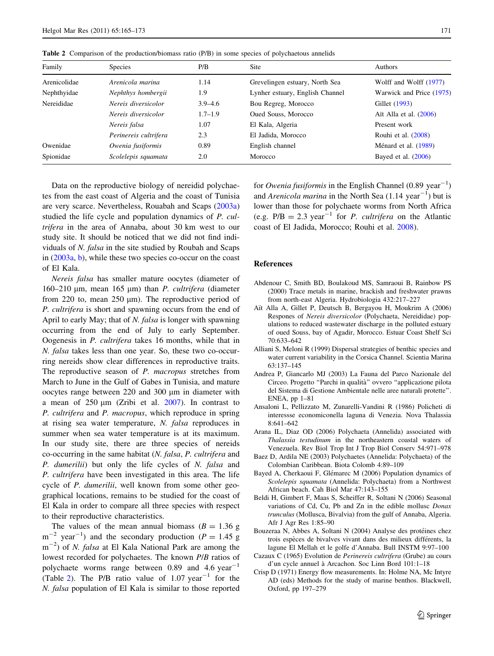| Family       | <b>Species</b>        | P/B         | Site                            | <b>Authors</b>           |
|--------------|-----------------------|-------------|---------------------------------|--------------------------|
| Arenicolidae | Arenicola marina      | 1.14        | Grevelingen estuary, North Sea  | Wolff and Wolff (1977)   |
| Nephthyidae  | Nephthys hombergii    | 1.9         | Lynher estuary, English Channel | Warwick and Price (1975) |
| Nereididae   | Nereis diversicolor   | $3.9 - 4.6$ | Bou Regreg, Morocco             | Gillet (1993)            |
|              | Nereis diversicolor   | $1.7 - 1.9$ | Oued Souss, Morocco             | Ait Alla et al. $(2006)$ |
|              | Nereis falsa          | 1.07        | El Kala, Algeria                | Present work             |
|              | Perinereis cultrifera | 2.3         | El Jadida, Morocco              | Rouhi et al. (2008)      |
| Owenidae     | Owenia fusiformis     | 0.89        | English channel                 | Ménard et al. (1989)     |
| Spionidae    | Scolelepis squamata   | 2.0         | Morocco                         | Bayed et al. $(2006)$    |

<span id="page-6-0"></span>Table 2 Comparison of the production/biomass ratio (P/B) in some species of polychaetous annelids

Data on the reproductive biology of nereidid polychaetes from the east coast of Algeria and the coast of Tunisia are very scarce. Nevertheless, Rouabah and Scaps [\(2003a\)](#page-7-0) studied the life cycle and population dynamics of P. cultrifera in the area of Annaba, about 30 km west to our study site. It should be noticed that we did not find individuals of N. falsa in the site studied by Roubah and Scaps in ([2003a](#page-7-0), [b\)](#page-7-0), while these two species co-occur on the coast of El Kala.

Nereis falsa has smaller mature oocytes (diameter of 160–210  $\mu$ m, mean 165  $\mu$ m) than *P. cultrifera* (diameter from 220 to, mean  $250 \mu m$ ). The reproductive period of P. cultrifera is short and spawning occurs from the end of April to early May; that of N. falsa is longer with spawning occurring from the end of July to early September. Oogenesis in P. cultrifera takes 16 months, while that in N. falsa takes less than one year. So, these two co-occurring nereids show clear differences in reproductive traits. The reproductive season of P. macropus stretches from March to June in the Gulf of Gabes in Tunisia, and mature oocytes range between 220 and 300 µm in diameter with a mean of  $250 \mu m$  (Zribi et al.  $2007$ ). In contrast to P. cultrifera and P. macropus, which reproduce in spring at rising sea water temperature, N. falsa reproduces in summer when sea water temperature is at its maximum. In our study site, there are three species of nereids co-occurring in the same habitat (N. falsa, P. cultrifera and P. dumerilii) but only the life cycles of N. falsa and P. cultrifera have been investigated in this area. The life cycle of *P. dumerilii*, well known from some other geographical locations, remains to be studied for the coast of El Kala in order to compare all three species with respect to their reproductive characteristics.

The values of the mean annual biomass  $(B = 1.36$  g  $m^{-2}$  year<sup>-1</sup>) and the secondary production ( $P = 1.45$  g  $m^{-2}$ ) of *N. falsa* at El Kala National Park are among the lowest recorded for polychaetes. The known P/B ratios of polychaete worms range between 0.89 and 4.6  $year^{-1}$ (Table 2). The P/B ratio value of  $1.07 \text{ year}^{-1}$  for the N. falsa population of El Kala is similar to those reported

for Owenia fusiformis in the English Channel  $(0.89 \text{ year}^{-1})$ and Arenicola marina in the North Sea  $(1.14 \text{ year}^{-1})$  but is lower than those for polychaete worms from North Africa (e.g.  $P/B = 2.3$  year<sup>-1</sup> for *P. cultrifera* on the Atlantic coast of El Jadida, Morocco; Rouhi et al. [2008\)](#page-7-0).

## References

- Abdenour C, Smith BD, Boulakoud MS, Samraoui B, Rainbow PS (2000) Trace metals in marine, brackish and freshwater prawns from north-east Algeria. Hydrobiologia 432:217–227
- Aït Alla A, Gillet P, Deutsch B, Bergayou H, Moukrim A (2006) Respones of Nereis diversicolor (Polychaeta, Nereididae) populations to reduced wastewater discharge in the polluted estuary of oued Souss, bay of Agadir, Morocco. Estuar Coast Shelf Sci 70:633–642
- Alliani S, Meloni R (1999) Dispersal strategies of benthic species and water current variability in the Corsica Channel. Scientia Marina 63:137–145
- Andrea P, Giancarlo MJ (2003) La Fauna del Parco Nazionale del Circeo. Progetto ''Parchi in qualita`'' ovvero ''applicazione pilota del Sistema di Gestione Ambientale nelle aree naturali protette''. ENEA, pp 1–81
- Ansaloni L, Pellizzato M, Zunarelli-Vandini R (1986) Policheti di interessse economiconella laguna di Venezia. Nova Thalassia 8:641–642
- Arana IL, Diaz OD (2006) Polychaeta (Annelida) associated with Thalassia testudinum in the northeastern coastal waters of Venezuela. Rev Biol Trop Int J Trop Biol Conserv 54:971–978
- Baez D, Ardila NE (2003) Polychaetes (Annelida: Polychaeta) of the Colombian Caribbean. Biota Colomb 4:89–109
- Bayed A, Cherkaoui F, Glémarec M (2006) Population dynamics of Scolelepis squamata (Annelida: Polychaeta) from a Northwest African beach. Cah Biol Mar 47:143–155
- Beldi H, Gimbert F, Maas S, Scheiffer R, Soltani N (2006) Seasonal variations of Cd, Cu, Pb and Zn in the edible mollusc Donax trunculus (Mollusca, Bivalvia) from the gulf of Annaba, Algeria. Afr J Agr Res 1:85–90
- Bouzeraa N, Abbes A, Soltani N (2004) Analyse des protéines chez trois espèces de bivalves vivant dans des milieux différents, la lagune El Mellah et le golfe d'Annaba. Bull INSTM 9:97–100
- Cazaux C (1965) Evolution de Perinereis cultrifera (Grube) au cours d'un cycle annuel a` Arcachon. Soc Linn Bord 101:1–18
- Crisp D (1971) Energy flow measurements. In: Holme NA, Mc Intyre AD (eds) Methods for the study of marine benthos. Blackwell, Oxford, pp 197–279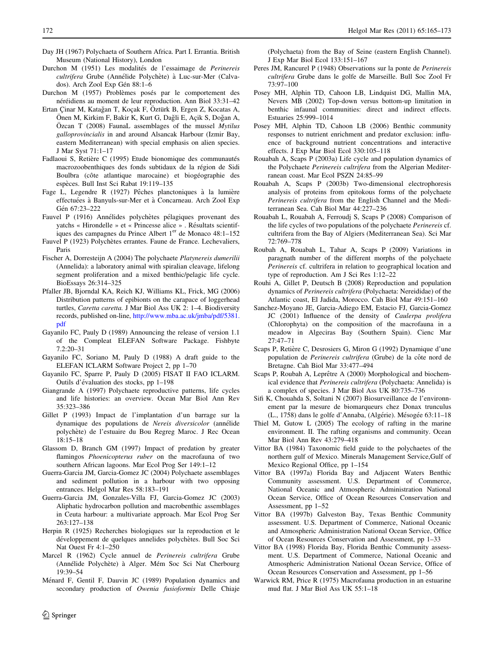- <span id="page-7-0"></span>Day JH (1967) Polychaeta of Southern Africa. Part I. Errantia. British Museum (National History), London
- Durchon M (1951) Les modalités de l'essaimage de Perinereis cultrifera Grube (Annélide Polychète) à Luc-sur-Mer (Calvados). Arch Zool Exp Gén 88:1-6
- Durchon M (1957) Problèmes posés par le comportement des néréidiens au moment de leur reproduction. Ann Biol 33:31–42
- Ertan Cinar M, Katağan T, Koçak F, Öztürk B, Ergen Z, Kocatas A, Önen M, Kirkim F, Bakir K, Kurt G, Dağli E, Açik S, Doğan A, Özcan T (2008) FaunaL assemblages of the mussel  $Mytilus$ galloprovincialis in and around Alsancak Harbour (Izmir Bay, eastern Mediterranean) with special emphasis on alien species. J Mar Syst 71:1–17
- Fadlaoui S, Retière C (1995) Etude bionomique des communautés macrozoobenthiques des fonds subtidaux de la région de Sidi Boulbra (côte atlantique marocaine) et biogéographie des espèces. Bull Inst Sci Rabat 19:119-135
- Fage L, Legendre R (1927) Pêches planctoniques à la lumière effectuées à Banyuls-sur-Mer et à Concarneau. Arch Zool Exp Gén 67:23-222
- Fauvel P (1916) Annélides polychètes pélagiques provenant des yatchs « Hirondelle » et « Princesse alice » . Résultats scientifiques des campagnes du Prince Albert  $1<sup>er</sup>$  de Monaco 48:1–152
- Fauvel P (1923) Polychètes errantes. Faune de France. Lechevaliers, Paris
- Fischer A, Dorresteijn A (2004) The polychaete Platynereis dumerilii (Annelida): a laboratory animal with spiralian cleavage, lifelong segment proliferation and a mixed benthic/pelagic life cycle. BioEssays 26:314–325
- Pfaller JB, Bjorndal KA, Reich KJ, Williams KL, Frick, MG (2006) Distribution patterns of epibionts on the carapace of loggerhead turtles, Caretta caretta. J Mar Biol Ass UK 2: 1–4. Biodiversity records, published on-line, [http://www.mba.ac.uk/jmba/pdf/5381.](http://www.mba.ac.uk/jmba/pdf/5381.pdf) [pdf](http://www.mba.ac.uk/jmba/pdf/5381.pdf)
- Gayanilo FC, Pauly D (1989) Announcing the release of version 1.1 of the Compleat ELEFAN Software Package. Fishbyte 7.2:20–31
- Gayanilo FC, Soriano M, Pauly D (1988) A draft guide to the ELEFAN ICLARM Software Project 2, pp 1–70
- Gayanilo FC, Sparre P, Pauly D (2005) FISAT II FAO ICLARM. Outils d'évaluation des stocks, pp 1–198
- Giangrande A (1997) Polychaete reproductive patterns, life cycles and life histories: an overview. Ocean Mar Biol Ann Rev 35:323–386
- Gillet P (1993) Impact de l'implantation d'un barrage sur la dynamique des populations de Nereis diversicolor (annélide polyche`te) de l'estuaire du Bou Regreg Maroc. J Rec Ocean 18:15–18
- Glassom D, Branch GM (1997) Impact of predation by greater flamingos Phoenicopterus ruber on the macrofauna of two southern African lagoons. Mar Ecol Prog Ser 149:1–12
- Guerra-Garcia JM, Garcia-Gomez JC (2004) Polychaete assemblages and sediment pollution in a harbour with two opposing entrances. Helgol Mar Res 58:183–191
- Guerra-Garcia JM, Gonzales-Villa FJ, Garcia-Gomez JC (2003) Aliphatic hydrocarbon pollution and macrobenthic assemblages in Ceuta harbour: a multivariate approach. Mar Ecol Prog Ser 263:127–138
- Herpin R (1925) Recherches biologiques sur la reproduction et le développement de quelques annelides polychètes. Bull Soc Sci Nat Ouest Fr 4:1–250
- Marcel R (1962) Cycle annuel de Perinereis cultrifera Grube (Annélide Polychète) à Alger. Mém Soc Sci Nat Cherbourg 19:39–54
- Ménard F, Gentil F, Dauvin JC (1989) Population dynamics and secondary production of Owenia fusioformis Delle Chiaje

(Polychaeta) from the Bay of Seine (eastern English Channel). J Exp Mar Biol Ecol 133:151–167

- Peres JM, Rancurel P (1948) Observations sur la ponte de Perinereis cultrifera Grube dans le golfe de Marseille. Bull Soc Zool Fr 73:97–100
- Posey MH, Alphin TD, Cahoon LB, Lindquist DG, Mallin MA, Nevers MB (2002) Top-down versus bottom-up limitation in benthic infaunal communities: direct and indirect effects. Estuaries 25:999–1014
- Posey MH, Alphin TD, Cahoon LB (2006) Benthic community responses to nutrient enrichment and predator exclusion: influence of background nutrient concentrations and interactive effects. J Exp Mar Biol Ecol 330:105–118
- Rouabah A, Scaps P (2003a) Life cycle and population dynamics of the Polychaete Perinereis cultrifera from the Algerian Mediterranean coast. Mar Ecol PSZN 24:85–99
- Rouabah A, Scaps P (2003b) Two-dimensional electrophoresis analysis of proteins from epitokous forms of the polychaete Perinereis cultrifera from the English Channel and the Mediterranean Sea. Cah Biol Mar 44:227–236
- Rouabah L, Rouabah A, Ferroudj S, Scaps P (2008) Comparison of the life cycles of two populations of the polychaete Perinereis cf. cultrifera from the Bay of Algiers (Mediterranean Sea). Sci Mar 72:769–778
- Roubah A, Rouabah L, Tahar A, Scaps P (2009) Variations in paragnath number of the different morphs of the polychaete Perinereis cf. cultrifera in relation to geographical location and type of reproduction. Am J Sci Res 1:12–22
- Rouhi A, Gillet P, Deutsch B (2008) Reproduction and population dynamics of Perinereis cultrifera (Polychaeta: Nereididae) of the Atlantic coast, El Jadida, Morocco. Cah Biol Mar 49:151–160
- Sanchez-Moyano JE, Garcia-Adiego EM, Estacio FJ, Garcia-Gomez JC (2001) Influence of the density of Caulerpa prolifera (Chlorophyta) on the composition of the macrofauna in a meadow in Algeciras Bay (Southern Spain). Cienc Mar 27:47–71
- Scaps P, Retière C, Desrosiers G, Miron G (1992) Dynamique d'une population de Perinereis cultrifera (Grube) de la côte nord de Bretagne. Cah Biol Mar 33:477–494
- Scaps P, Roubah A, Leprêtre A (2000) Morphological and biochemical evidence that Perinereis cultrifera (Polychaeta: Annelida) is a complex of species. J Mar Biol Ass UK 80:735–736
- Sifi K, Chouahda S, Soltani N (2007) Biosurveillance de l'environnement par la mesure de biomarqueurs chez Donax trunculus (L., 1758) dans le golfe d'Annaba, (Algérie). Mésogée 63:11-18
- Thiel M, Gutow L (2005) The ecology of rafting in the marine environment. II. The rafting organisms and community. Ocean Mar Biol Ann Rev 43:279–418
- Vittor BA (1984) Taxonomic field guide to the polychaetes of the northern gulf of Mexico. Minerals Management Service,Gulf of Mexico Regional Office, pp 1–154
- Vittor BA (1997a) Florida Bay and Adjacent Waters Benthic Community assessment. U.S. Department of Commerce, National Oceanic and Atmospheric Administration National Ocean Service, Office of Ocean Resources Conservation and Assessment, pp 1–52
- Vittor BA (1997b) Galveston Bay, Texas Benthic Community assessment. U.S. Department of Commerce, National Oceanic and Atmospheric Administration National Ocean Service, Office of Ocean Resources Conservation and Assessment, pp 1–33
- Vittor BA (1998) Florida Bay, Florida Benthic Community assessment. U.S. Department of Commerce, National Oceanic and Atmospheric Administration National Ocean Service, Office of Ocean Resources Conservation and Assessment, pp 1–56
- Warwick RM, Price R (1975) Macrofauna production in an estuarine mud flat. J Mar Biol Ass UK 55:1–18